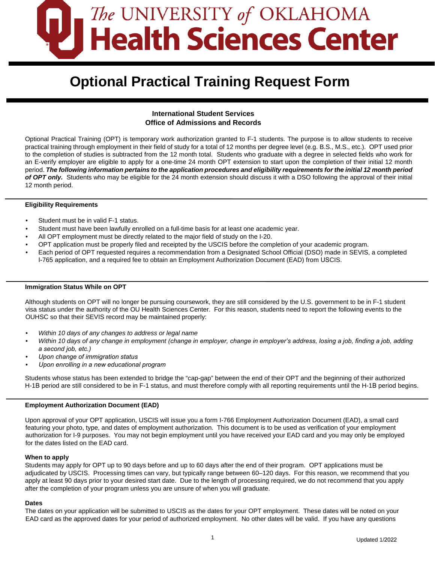# The UNIVERSITY of OKLAHOMA<br>Health Sciences Center

# **Optional Practical Training Request Form**

# **International Student Services Office of Admissions and Records**

Optional Practical Training (OPT) is temporary work authorization granted to F-1 students. The purpose is to allow students to receive practical training through employment in their field of study for a total of 12 months per degree level (e.g. B.S., M.S., etc.). OPT used prior to the completion of studies is subtracted from the 12 month total. Students who graduate with a degree in selected fields who work for an E-verify employer are eligible to apply for a one-time 24 month OPT extension to start upon the completion of their initial 12 month period. *The following information pertains to the application procedures and eligibility requirements for the initial 12 month period of OPT only.* Students who may be eligible for the 24 month extension should discuss it with a DSO following the approval of their initial 12 month period.

# **Eligibility Requirements**

- Student must be in valid F-1 status.
- Student must have been lawfully enrolled on a full-time basis for at least one academic year.
- All OPT employment must be directly related to the major field of study on the I-20.
- OPT application must be properly filed and receipted by the USCIS before the completion of your academic program.
- Each period of OPT requested requires a recommendation from a Designated School Official (DSO) made in SEVIS, a completed I-765 application, and a required fee to obtain an Employment Authorization Document (EAD) from USCIS.

#### **Immigration Status While on OPT**

Although students on OPT will no longer be pursuing coursework, they are still considered by the U.S. government to be in F-1 student visa status under the authority of the OU Health Sciences Center. For this reason, students need to report the following events to the OUHSC so that their SEVIS record may be maintained properly:

- *Within 10 days of any changes to address or legal name*
- *Within 10 days of any change in employment (change in employer, change in employer's address, losing a job, finding a job, adding a second job, etc.)*
- *Upon change of immigration status*
- *Upon enrolling in a new educational program*

Students whose status has been extended to bridge the "cap-gap" between the end of their OPT and the beginning of their authorized H-1B period are still considered to be in F-1 status, and must therefore comply with all reporting requirements until the H-1B period begins.

# **Employment Authorization Document (EAD)**

Upon approval of your OPT application, USCIS will issue you a form I-766 Employment Authorization Document (EAD), a small card featuring your photo, type, and dates of employment authorization. This document is to be used as verification of your employment authorization for I-9 purposes. You may not begin employment until you have received your EAD card and you may only be employed for the dates listed on the EAD card.

#### **When to apply**

Students may apply for OPT up to 90 days before and up to 60 days after the end of their program. OPT applications must be adjudicated by USCIS. Processing times can vary, but typically range between 60–120 days. For this reason, we recommend that you apply at least 90 days prior to your desired start date. Due to the length of processing required, we do not recommend that you apply after the completion of your program unless you are unsure of when you will graduate.

#### **Dates**

The dates on your application will be submitted to USCIS as the dates for your OPT employment. These dates will be noted on your EAD card as the approved dates for your period of authorized employment. No other dates will be valid. If you have any questions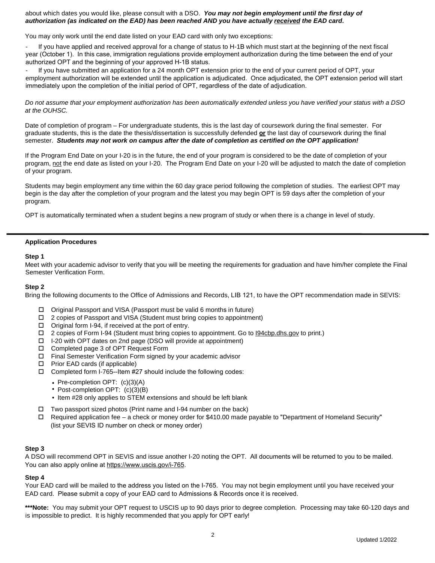#### about which dates you would like, please consult with a DSO. *You may not begin employment until the first day of authorization (as indicated on the EAD) has been reached AND you have actually received the EAD card.*

You may only work until the end date listed on your EAD card with only two exceptions:

If you have applied and received approval for a change of status to H-1B which must start at the beginning of the next fiscal year (October 1). In this case, immigration regulations provide employment authorization during the time between the end of your authorized OPT and the beginning of your approved H-1B status.

If you have submitted an application for a 24 month OPT extension prior to the end of your current period of OPT, your employment authorization will be extended until the application is adjudicated. Once adjudicated, the OPT extension period will start immediately upon the completion of the initial period of OPT, regardless of the date of adjudication.

*Do not assume that your employment authorization has been automatically extended unless you have verified your status with a DSO at the OUHSC.* 

Date of completion of program – For undergraduate students, this is the last day of coursework during the final semester. For graduate students, this is the date the thesis/dissertation is successfully defended **or** the last day of coursework during the final semester. *Students may not work on campus after the date of completion as certified on the OPT application!*

If the Program End Date on your I-20 is in the future, the end of your program is considered to be the date of completion of your program, not the end date as listed on your I-20. The Program End Date on your I-20 will be adjusted to match the date of completion of your program.

Students may begin employment any time within the 60 day grace period following the completion of studies. The earliest OPT may begin is the day after the completion of your program and the latest you may begin OPT is 59 days after the completion of your program.

OPT is automatically terminated when a student begins a new program of study or when there is a change in level of study.

#### **Application Procedures**

#### **Step 1**

Meet with your academic advisor to verify that you will be meeting the requirements for graduation and have him/her complete the Final Semester Verification Form.

#### **Step 2**

Bring the following documents to the Office of Admissions and Records, LIB 121, to have the OPT recommendation made in SEVIS:

- $\Box$  Original Passport and VISA (Passport must be valid 6 months in future)
- □ 2 copies of Passport and VISA (Student must bring copies to appointment)
- $\Box$  Original form I-94, if received at the port of entry.
- 2 copies of Form I-94 (Student must bring copies to appointment. Go to I94cbp.dhs.gov to print.)
- I-20 with OPT dates on 2nd page (DSO will provide at appointment)
- □ Completed page 3 of OPT Request Form
- Final Semester Verification Form signed by your academic advisor
- $\square$  Prior EAD cards (if applicable)
- Completed form I-765--Item #27 should include the following codes:
	- Pre-completion OPT: (c)(3)(A)
	- Post-completion OPT: (c)(3)(B)
	- Item #28 only applies to STEM extensions and should be left blank
- $\Box$  Two passport sized photos (Print name and I-94 number on the back)
- Required application fee a check or money order for \$410.00 made payable to "Department of Homeland Security" (list your SEVIS ID number on check or money order)

#### **Step 3**

A DSO will recommend OPT in SEVIS and issue another I-20 noting the OPT. All documents will be returned to you to be mailed. You can also apply online at https://www.uscis.gov/i-765.

#### **Step 4**

Your EAD card will be mailed to the address you listed on the I-765. You may not begin employment until you have received your EAD card. Please submit a copy of your EAD card to Admissions & Records once it is received.

**\*\*\*Note:** You may submit your OPT request to USCIS up to 90 days prior to degree completion. Processing may take 60-120 days and is impossible to predict. It is highly recommended that you apply for OPT early!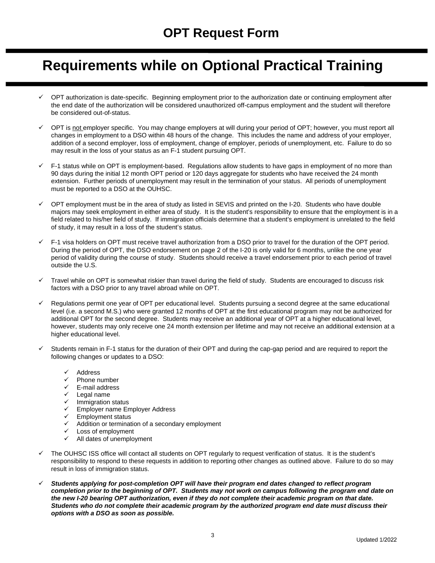# **Requirements while on Optional Practical Training**

- $\checkmark$  OPT authorization is date-specific. Beginning employment prior to the authorization date or continuing employment after the end date of the authorization will be considered unauthorized off-campus employment and the student will therefore be considered out-of-status.
- OPT is not employer specific. You may change employers at will during your period of OPT; however, you must report all changes in employment to a DSO within 48 hours of the change. This includes the name and address of your employer, addition of a second employer, loss of employment, change of employer, periods of unemployment, etc. Failure to do so may result in the loss of your status as an F-1 student pursuing OPT.
- $\checkmark$  F-1 status while on OPT is employment-based. Regulations allow students to have gaps in employment of no more than 90 days during the initial 12 month OPT period or 120 days aggregate for students who have received the 24 month extension. Further periods of unemployment may result in the termination of your status. All periods of unemployment must be reported to a DSO at the OUHSC.
- OPT employment must be in the area of study as listed in SEVIS and printed on the I-20. Students who have double majors may seek employment in either area of study. It is the student's responsibility to ensure that the employment is in a field related to his/her field of study. If immigration officials determine that a student's employment is unrelated to the field of study, it may result in a loss of the student's status.
- F-1 visa holders on OPT must receive travel authorization from a DSO prior to travel for the duration of the OPT period. During the period of OPT, the DSO endorsement on page 2 of the I-20 is only valid for 6 months, unlike the one year period of validity during the course of study. Students should receive a travel endorsement prior to each period of travel outside the U.S.
- Travel while on OPT is somewhat riskier than travel during the field of study. Students are encouraged to discuss risk factors with a DSO prior to any travel abroad while on OPT.
- $\checkmark$  Regulations permit one year of OPT per educational level. Students pursuing a second degree at the same educational level (i.e. a second M.S.) who were granted 12 months of OPT at the first educational program may not be authorized for additional OPT for the second degree. Students may receive an additional year of OPT at a higher educational level, however, students may only receive one 24 month extension per lifetime and may not receive an additional extension at a higher educational level.
- Students remain in F-1 status for the duration of their OPT and during the cap-gap period and are required to report the following changes or updates to a DSO:
	- Address
	- Phone number
	- $\checkmark$  E-mail address
	- Legal name
	- $\checkmark$  Immigration status
	- Employer name Employer Address
	- $\checkmark$  Employment status
	- $\checkmark$  Addition or termination of a secondary employment  $\checkmark$  Loss of employment
	- Loss of employment
	- $\checkmark$  All dates of unemployment
- The OUHSC ISS office will contact all students on OPT regularly to request verification of status. It is the student's responsibility to respond to these requests in addition to reporting other changes as outlined above. Failure to do so may result in loss of immigration status.
- *Students applying for post-completion OPT will have their program end dates changed to reflect program completion prior to the beginning of OPT. Students may not work on campus following the program end date on the new I-20 bearing OPT authorization, even if they do not complete their academic program on that date. Students who do not complete their academic program by the authorized program end date must discuss their options with a DSO as soon as possible.*